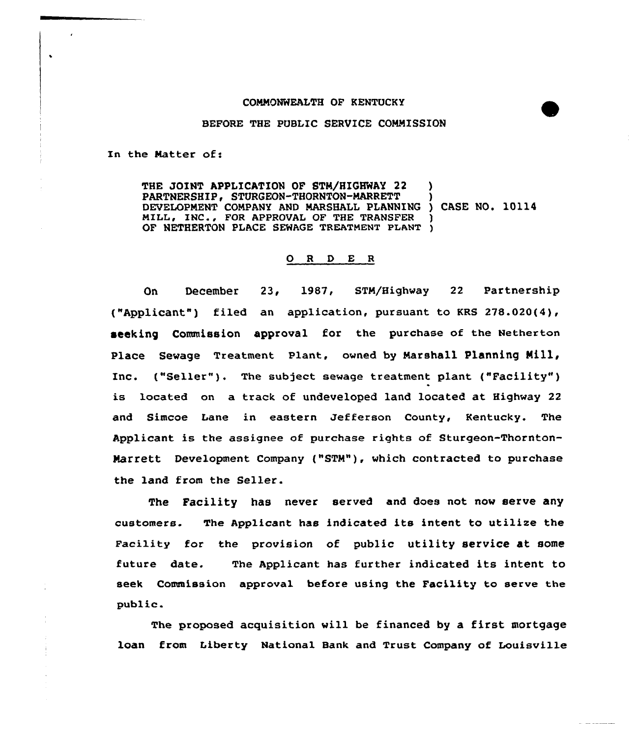## COMMONWEALTH OF KENTUCKY

## BEFORE THE PUBLIC SERVICE COMMISSION

In the Natter of:

 $\ddot{\phantom{0}}$ 

THE JOINT APPLICATION OF STM/HIGHWAY 22 PARTNERSHIP, STURGEON-THORNTON-MARRETT DEVELOPMENT COMPANY AND MARSHALL PLANNING ) CASE NO. 10114 MILL, INC., FOR APPROVAL OF THE TRANSFER OF NETHERTON PLACE SEWAGE TREATMENT PLANT )

## 0 <sup>R</sup> <sup>D</sup> E <sup>R</sup>

On December 23, 1987, STM/Highway 22 Partnership ("Applicant") filed an application, pursuant to KRS 278.020(4), seeking Commission approval for the purchase of the Netherton Place Sewage Treatment Plant, owned by Marshall Planning Mill, Inc. ("Seller"). The subject sewage treatment plant ("Facility") is located on a track of undeveloped land located at Highway 22 and Simcoe Lane in eastern Jefferson County, Kentucky. The Applicant is the assignee of purchase rights of Sturgeon-Thornton-Marrett Development Company ("STM"), which contracted to purchase the land from the Seller.

The Facility has never served and does not now serve any customers. The Applicant has indicated its intent to utilize the Facility for the provision of public utility service at some future date. The Applicant has further indicated its intent to seek Commission approval before using the Facility to serve the public.

The proposed acquisition will be financed by a first mortgage loan from Liberty National Bank and Trust Company of Louisville

 $\sim$   $-$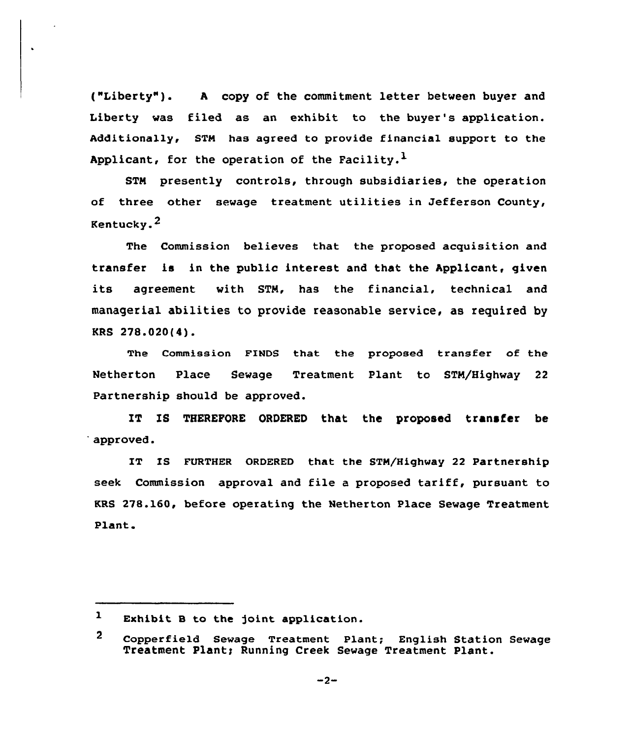("Liberty" ). <sup>A</sup> copy of the commitment letter between buyer and Liberty was filed as an exhibit to the buyer's application. Additionally, STH has agreed to provide financial support to the Applicant, for the operation of the Facility.<sup>1</sup>

STM presently controls, through subsidiaries, the operation of three other sewage treatment utilities in Jefferson County, Kentucky.2

The Commission believes that the proposed acquisition and transfer is in the public interest and that the Applicant, given its agreement with STN, has the financial, technical and managerial abilities to provide reasonable service, as required by KRS 278.020(4).

The Commission FINDS that the proposed transfer of the Netherton Place Sewage Treatment Plant to STN/Highway 22 Partnership should be approved.

IT IS THEREFORE ORDERED that the proposed transfer be approved.

IT IS FURTHER ORDERED that the STN/Highway 22 Partnership seek Commission approval and file <sup>a</sup> proposed tariff, pursuant to KRS 278.160, before operating the Netherton Place Sewage Treatment Plant.

 $-2-$ 

 $\mathbf{1}$ Exhibit B to the joint application.

 $\mathbf{2}$ Copperfie1d Sewage Treatment Plant; English Station Sewage Treatment Plant; Running Creek Sewage Treatment Plant.